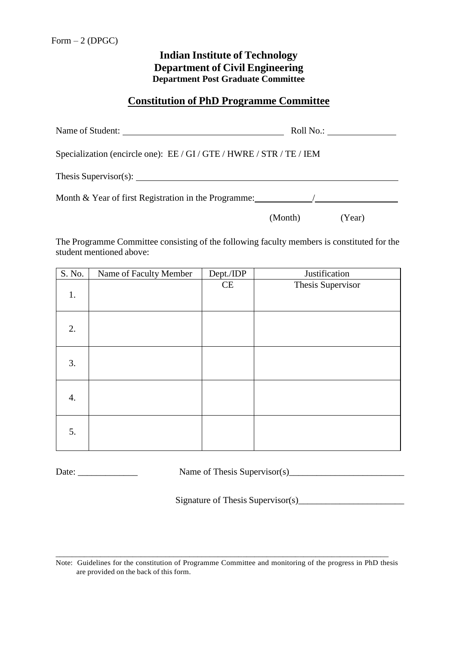## **Indian Institute of Technology Department of Civil Engineering Department Post Graduate Committee**

## **Constitution of PhD Programme Committee**

| Name of Student:                                                      |         | Roll No.: |
|-----------------------------------------------------------------------|---------|-----------|
| Specialization (encircle one): EE / GI / GTE / HWRE / STR / TE / IEM  |         |           |
| Thesis Supervisor(s): $\qquad \qquad$                                 |         |           |
| Month $\&$ Year of first Registration in the Programme: $\frac{1}{2}$ |         |           |
|                                                                       | (Month) | (Year)    |

The Programme Committee consisting of the following faculty members is constituted for the student mentioned above:

| S. No.           | Name of Faculty Member | Dept./IDP | Justification     |
|------------------|------------------------|-----------|-------------------|
| 1.               |                        | CE        | Thesis Supervisor |
| 2.               |                        |           |                   |
| 3.               |                        |           |                   |
| $\overline{4}$ . |                        |           |                   |
| 5.               |                        |           |                   |

Date: \_\_\_\_\_\_\_\_\_\_\_\_\_ Name of Thesis Supervisor(s)\_\_\_\_\_\_\_\_\_\_\_\_\_\_\_\_\_\_\_\_\_\_\_\_\_

Signature of Thesis Supervisor(s)\_\_\_\_\_\_\_\_\_\_\_\_\_\_\_\_\_\_\_\_\_\_\_

Note: Guidelines for the constitution of Programme Committee and monitoring of the progress in PhD thesis are provided on the back of this form.

\_\_\_\_\_\_\_\_\_\_\_\_\_\_\_\_\_\_\_\_\_\_\_\_\_\_\_\_\_\_\_\_\_\_\_\_\_\_\_\_\_\_\_\_\_\_\_\_\_\_\_\_\_\_\_\_\_\_\_\_\_\_\_\_\_\_\_\_\_\_\_\_\_\_\_\_\_\_\_\_\_\_